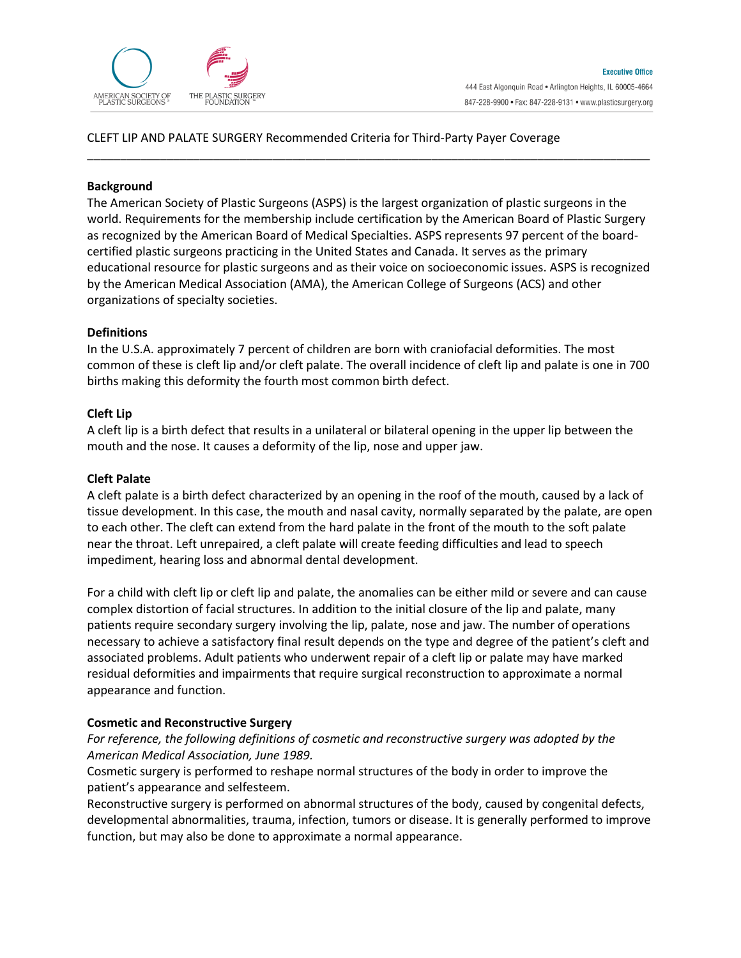

## CLEFT LIP AND PALATE SURGERY Recommended Criteria for Third-Party Payer Coverage

### **Background**

The American Society of Plastic Surgeons (ASPS) is the largest organization of plastic surgeons in the world. Requirements for the membership include certification by the American Board of Plastic Surgery as recognized by the American Board of Medical Specialties. ASPS represents 97 percent of the boardcertified plastic surgeons practicing in the United States and Canada. It serves as the primary educational resource for plastic surgeons and as their voice on socioeconomic issues. ASPS is recognized by the American Medical Association (AMA), the American College of Surgeons (ACS) and other organizations of specialty societies.

\_\_\_\_\_\_\_\_\_\_\_\_\_\_\_\_\_\_\_\_\_\_\_\_\_\_\_\_\_\_\_\_\_\_\_\_\_\_\_\_\_\_\_\_\_\_\_\_\_\_\_\_\_\_\_\_\_\_\_\_\_\_\_\_\_\_\_\_\_\_\_\_\_\_\_\_\_\_\_\_\_\_\_\_\_

## **Definitions**

In the U.S.A. approximately 7 percent of children are born with craniofacial deformities. The most common of these is cleft lip and/or cleft palate. The overall incidence of cleft lip and palate is one in 700 births making this deformity the fourth most common birth defect.

## **Cleft Lip**

A cleft lip is a birth defect that results in a unilateral or bilateral opening in the upper lip between the mouth and the nose. It causes a deformity of the lip, nose and upper jaw.

#### **Cleft Palate**

A cleft palate is a birth defect characterized by an opening in the roof of the mouth, caused by a lack of tissue development. In this case, the mouth and nasal cavity, normally separated by the palate, are open to each other. The cleft can extend from the hard palate in the front of the mouth to the soft palate near the throat. Left unrepaired, a cleft palate will create feeding difficulties and lead to speech impediment, hearing loss and abnormal dental development.

For a child with cleft lip or cleft lip and palate, the anomalies can be either mild or severe and can cause complex distortion of facial structures. In addition to the initial closure of the lip and palate, many patients require secondary surgery involving the lip, palate, nose and jaw. The number of operations necessary to achieve a satisfactory final result depends on the type and degree of the patient's cleft and associated problems. Adult patients who underwent repair of a cleft lip or palate may have marked residual deformities and impairments that require surgical reconstruction to approximate a normal appearance and function.

#### **Cosmetic and Reconstructive Surgery**

*For reference, the following definitions of cosmetic and reconstructive surgery was adopted by the American Medical Association, June 1989.* 

Cosmetic surgery is performed to reshape normal structures of the body in order to improve the patient's appearance and selfesteem.

Reconstructive surgery is performed on abnormal structures of the body, caused by congenital defects, developmental abnormalities, trauma, infection, tumors or disease. It is generally performed to improve function, but may also be done to approximate a normal appearance.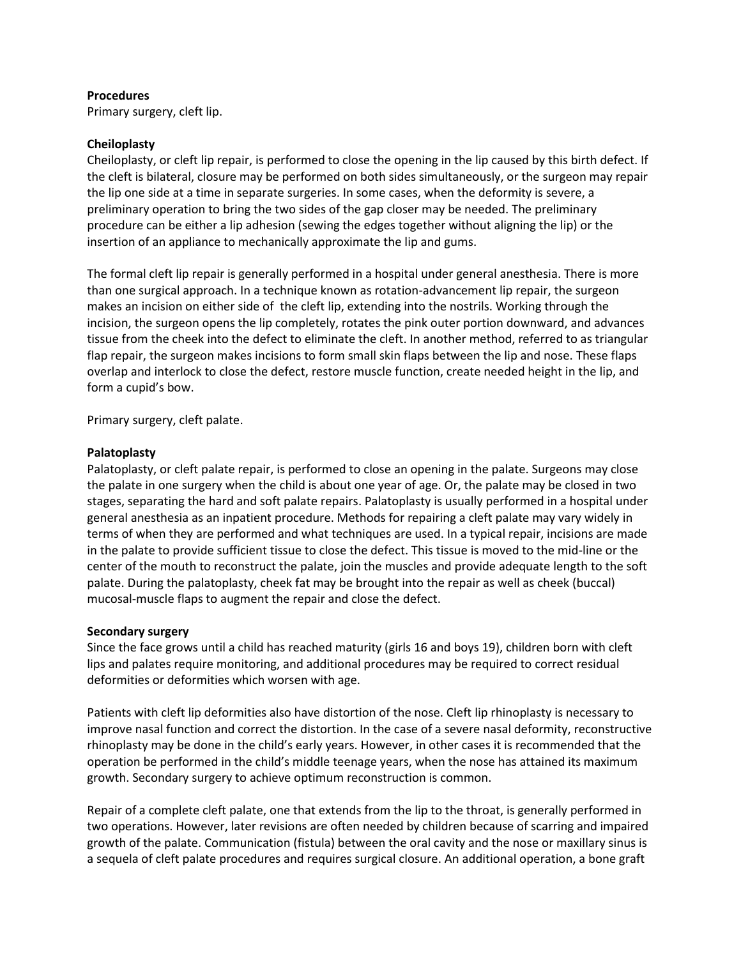### **Procedures**

Primary surgery, cleft lip.

### **Cheiloplasty**

Cheiloplasty, or cleft lip repair, is performed to close the opening in the lip caused by this birth defect. If the cleft is bilateral, closure may be performed on both sides simultaneously, or the surgeon may repair the lip one side at a time in separate surgeries. In some cases, when the deformity is severe, a preliminary operation to bring the two sides of the gap closer may be needed. The preliminary procedure can be either a lip adhesion (sewing the edges together without aligning the lip) or the insertion of an appliance to mechanically approximate the lip and gums.

The formal cleft lip repair is generally performed in a hospital under general anesthesia. There is more than one surgical approach. In a technique known as rotation-advancement lip repair, the surgeon makes an incision on either side of the cleft lip, extending into the nostrils. Working through the incision, the surgeon opens the lip completely, rotates the pink outer portion downward, and advances tissue from the cheek into the defect to eliminate the cleft. In another method, referred to as triangular flap repair, the surgeon makes incisions to form small skin flaps between the lip and nose. These flaps overlap and interlock to close the defect, restore muscle function, create needed height in the lip, and form a cupid's bow.

Primary surgery, cleft palate.

## **Palatoplasty**

Palatoplasty, or cleft palate repair, is performed to close an opening in the palate. Surgeons may close the palate in one surgery when the child is about one year of age. Or, the palate may be closed in two stages, separating the hard and soft palate repairs. Palatoplasty is usually performed in a hospital under general anesthesia as an inpatient procedure. Methods for repairing a cleft palate may vary widely in terms of when they are performed and what techniques are used. In a typical repair, incisions are made in the palate to provide sufficient tissue to close the defect. This tissue is moved to the mid-line or the center of the mouth to reconstruct the palate, join the muscles and provide adequate length to the soft palate. During the palatoplasty, cheek fat may be brought into the repair as well as cheek (buccal) mucosal-muscle flaps to augment the repair and close the defect.

#### **Secondary surgery**

Since the face grows until a child has reached maturity (girls 16 and boys 19), children born with cleft lips and palates require monitoring, and additional procedures may be required to correct residual deformities or deformities which worsen with age.

Patients with cleft lip deformities also have distortion of the nose. Cleft lip rhinoplasty is necessary to improve nasal function and correct the distortion. In the case of a severe nasal deformity, reconstructive rhinoplasty may be done in the child's early years. However, in other cases it is recommended that the operation be performed in the child's middle teenage years, when the nose has attained its maximum growth. Secondary surgery to achieve optimum reconstruction is common.

Repair of a complete cleft palate, one that extends from the lip to the throat, is generally performed in two operations. However, later revisions are often needed by children because of scarring and impaired growth of the palate. Communication (fistula) between the oral cavity and the nose or maxillary sinus is a sequela of cleft palate procedures and requires surgical closure. An additional operation, a bone graft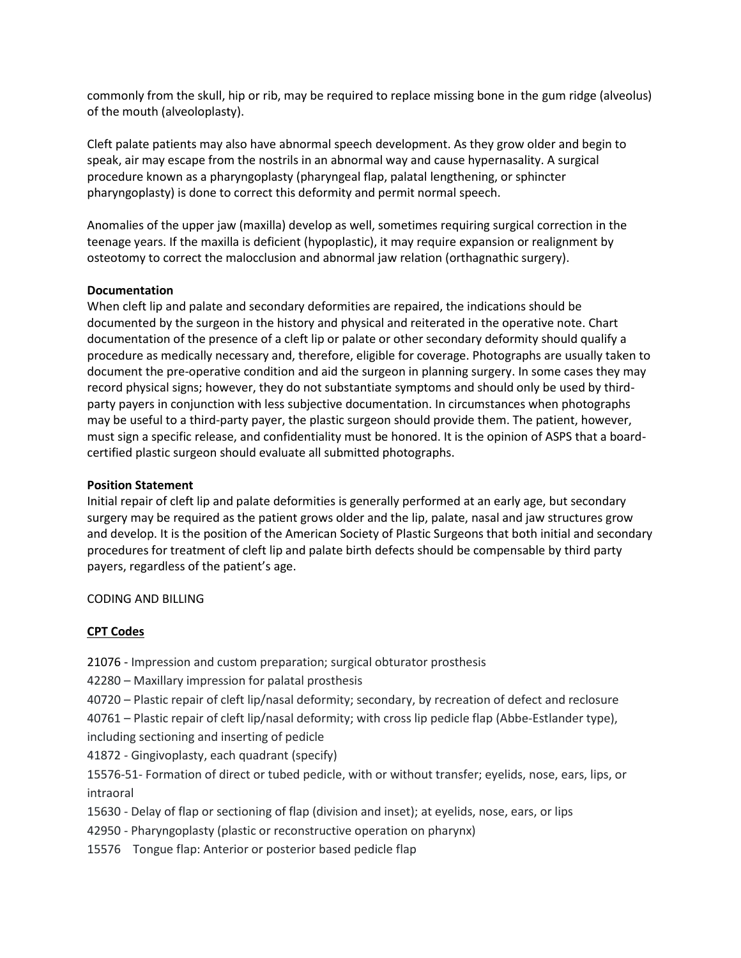commonly from the skull, hip or rib, may be required to replace missing bone in the gum ridge (alveolus) of the mouth (alveoloplasty).

Cleft palate patients may also have abnormal speech development. As they grow older and begin to speak, air may escape from the nostrils in an abnormal way and cause hypernasality. A surgical procedure known as a pharyngoplasty (pharyngeal flap, palatal lengthening, or sphincter pharyngoplasty) is done to correct this deformity and permit normal speech.

Anomalies of the upper jaw (maxilla) develop as well, sometimes requiring surgical correction in the teenage years. If the maxilla is deficient (hypoplastic), it may require expansion or realignment by osteotomy to correct the malocclusion and abnormal jaw relation (orthagnathic surgery).

# **Documentation**

When cleft lip and palate and secondary deformities are repaired, the indications should be documented by the surgeon in the history and physical and reiterated in the operative note. Chart documentation of the presence of a cleft lip or palate or other secondary deformity should qualify a procedure as medically necessary and, therefore, eligible for coverage. Photographs are usually taken to document the pre-operative condition and aid the surgeon in planning surgery. In some cases they may record physical signs; however, they do not substantiate symptoms and should only be used by thirdparty payers in conjunction with less subjective documentation. In circumstances when photographs may be useful to a third-party payer, the plastic surgeon should provide them. The patient, however, must sign a specific release, and confidentiality must be honored. It is the opinion of ASPS that a boardcertified plastic surgeon should evaluate all submitted photographs.

# **Position Statement**

Initial repair of cleft lip and palate deformities is generally performed at an early age, but secondary surgery may be required as the patient grows older and the lip, palate, nasal and jaw structures grow and develop. It is the position of the American Society of Plastic Surgeons that both initial and secondary procedures for treatment of cleft lip and palate birth defects should be compensable by third party payers, regardless of the patient's age.

# CODING AND BILLING

# **CPT Codes**

- 21076 Impression and custom preparation; surgical obturator prosthesis
- 42280 Maxillary impression for palatal prosthesis
- 40720 Plastic repair of cleft lip/nasal deformity; secondary, by recreation of defect and reclosure

40761 – Plastic repair of cleft lip/nasal deformity; with cross lip pedicle flap (Abbe-Estlander type), including sectioning and inserting of pedicle

- 41872 Gingivoplasty, each quadrant (specify)
- 15576-51- Formation of direct or tubed pedicle, with or without transfer; eyelids, nose, ears, lips, or intraoral
- 15630 Delay of flap or sectioning of flap (division and inset); at eyelids, nose, ears, or lips
- 42950 Pharyngoplasty (plastic or reconstructive operation on pharynx)
- 15576 Tongue flap: Anterior or posterior based pedicle flap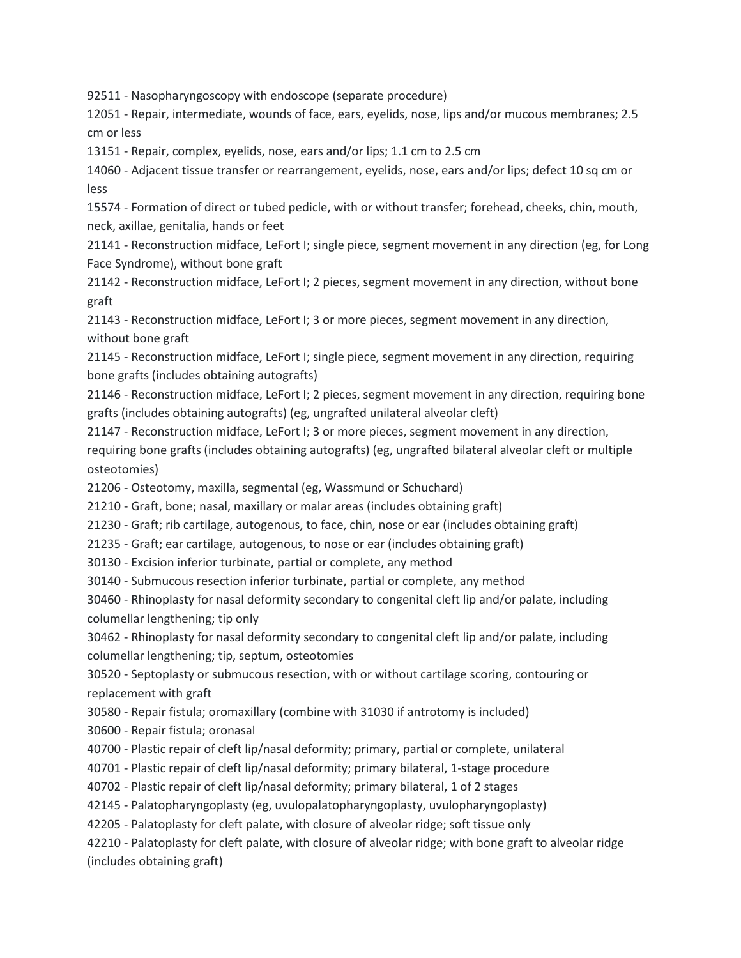92511 - Nasopharyngoscopy with endoscope (separate procedure)

12051 - Repair, intermediate, wounds of face, ears, eyelids, nose, lips and/or mucous membranes; 2.5 cm or less

13151 - Repair, complex, eyelids, nose, ears and/or lips; 1.1 cm to 2.5 cm

14060 - Adjacent tissue transfer or rearrangement, eyelids, nose, ears and/or lips; defect 10 sq cm or less

15574 - Formation of direct or tubed pedicle, with or without transfer; forehead, cheeks, chin, mouth, neck, axillae, genitalia, hands or feet

21141 - Reconstruction midface, LeFort I; single piece, segment movement in any direction (eg, for Long Face Syndrome), without bone graft

21142 - Reconstruction midface, LeFort I; 2 pieces, segment movement in any direction, without bone graft

21143 - Reconstruction midface, LeFort I; 3 or more pieces, segment movement in any direction, without bone graft

21145 - Reconstruction midface, LeFort I; single piece, segment movement in any direction, requiring bone grafts (includes obtaining autografts)

21146 - Reconstruction midface, LeFort I; 2 pieces, segment movement in any direction, requiring bone grafts (includes obtaining autografts) (eg, ungrafted unilateral alveolar cleft)

21147 - Reconstruction midface, LeFort I; 3 or more pieces, segment movement in any direction,

requiring bone grafts (includes obtaining autografts) (eg, ungrafted bilateral alveolar cleft or multiple osteotomies)

21206 - Osteotomy, maxilla, segmental (eg, Wassmund or Schuchard)

21210 - Graft, bone; nasal, maxillary or malar areas (includes obtaining graft)

21230 - Graft; rib cartilage, autogenous, to face, chin, nose or ear (includes obtaining graft)

21235 - Graft; ear cartilage, autogenous, to nose or ear (includes obtaining graft)

30130 - Excision inferior turbinate, partial or complete, any method

30140 - Submucous resection inferior turbinate, partial or complete, any method

30460 - Rhinoplasty for nasal deformity secondary to congenital cleft lip and/or palate, including columellar lengthening; tip only

30462 - Rhinoplasty for nasal deformity secondary to congenital cleft lip and/or palate, including columellar lengthening; tip, septum, osteotomies

30520 - Septoplasty or submucous resection, with or without cartilage scoring, contouring or replacement with graft

30580 - Repair fistula; oromaxillary (combine with 31030 if antrotomy is included)

30600 - Repair fistula; oronasal

40700 - Plastic repair of cleft lip/nasal deformity; primary, partial or complete, unilateral

40701 - Plastic repair of cleft lip/nasal deformity; primary bilateral, 1-stage procedure

40702 - Plastic repair of cleft lip/nasal deformity; primary bilateral, 1 of 2 stages

42145 - Palatopharyngoplasty (eg, uvulopalatopharyngoplasty, uvulopharyngoplasty)

42205 - Palatoplasty for cleft palate, with closure of alveolar ridge; soft tissue only

42210 - Palatoplasty for cleft palate, with closure of alveolar ridge; with bone graft to alveolar ridge (includes obtaining graft)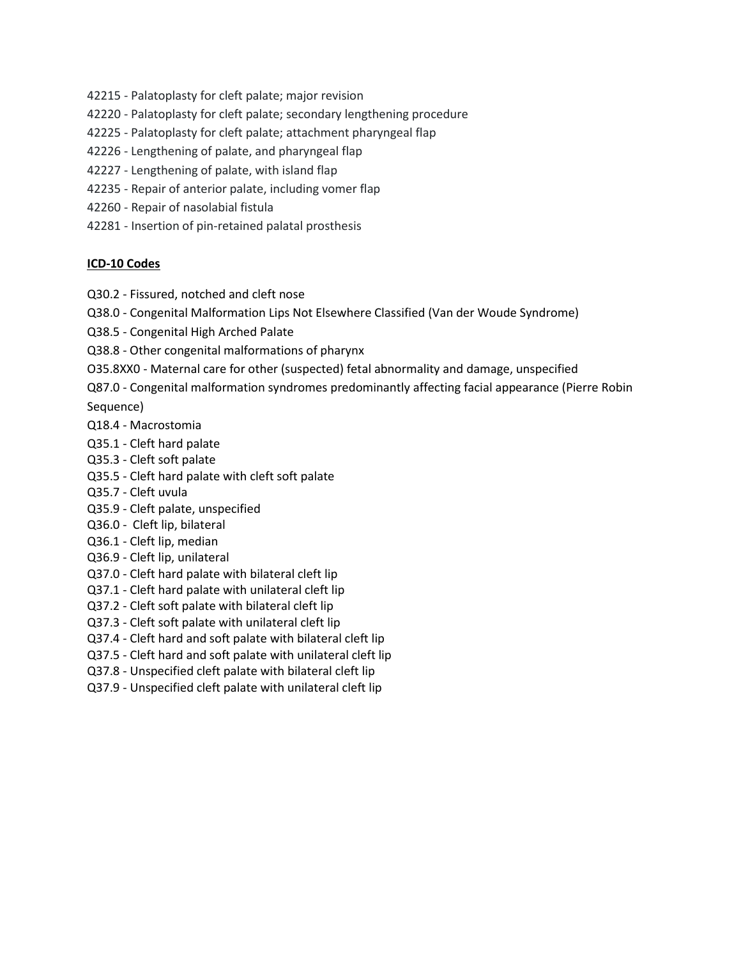- 42215 Palatoplasty for cleft palate; major revision
- 42220 Palatoplasty for cleft palate; secondary lengthening procedure
- 42225 Palatoplasty for cleft palate; attachment pharyngeal flap
- 42226 Lengthening of palate, and pharyngeal flap
- 42227 Lengthening of palate, with island flap
- 42235 Repair of anterior palate, including vomer flap
- 42260 Repair of nasolabial fistula
- 42281 Insertion of pin-retained palatal prosthesis

#### **ICD-10 Codes**

- Q30.2 Fissured, notched and cleft nose
- Q38.0 Congenital Malformation Lips Not Elsewhere Classified (Van der Woude Syndrome)
- Q38.5 Congenital High Arched Palate
- Q38.8 Other congenital malformations of pharynx
- O35.8XX0 Maternal care for other (suspected) fetal abnormality and damage, unspecified
- Q87.0 Congenital malformation syndromes predominantly affecting facial appearance (Pierre Robin

Sequence)

- Q18.4 Macrostomia
- Q35.1 Cleft hard palate
- Q35.3 Cleft soft palate
- Q35.5 Cleft hard palate with cleft soft palate
- Q35.7 Cleft uvula
- Q35.9 Cleft palate, unspecified
- Q36.0 Cleft lip, bilateral
- Q36.1 Cleft lip, median
- Q36.9 Cleft lip, unilateral
- Q37.0 Cleft hard palate with bilateral cleft lip
- Q37.1 Cleft hard palate with unilateral cleft lip
- Q37.2 Cleft soft palate with bilateral cleft lip
- Q37.3 Cleft soft palate with unilateral cleft lip
- Q37.4 Cleft hard and soft palate with bilateral cleft lip
- Q37.5 Cleft hard and soft palate with unilateral cleft lip
- Q37.8 Unspecified cleft palate with bilateral cleft lip
- Q37.9 Unspecified cleft palate with unilateral cleft lip